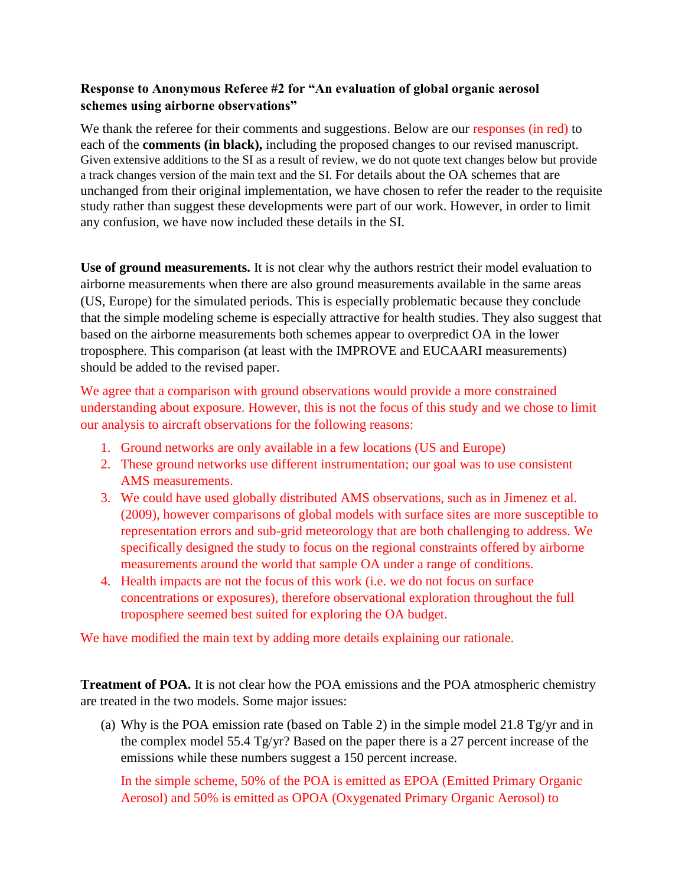## **Response to Anonymous Referee #2 for "An evaluation of global organic aerosol schemes using airborne observations"**

We thank the referee for their comments and suggestions. Below are our responses (in red) to each of the **comments (in black),** including the proposed changes to our revised manuscript. Given extensive additions to the SI as a result of review, we do not quote text changes below but provide a track changes version of the main text and the SI. For details about the OA schemes that are unchanged from their original implementation, we have chosen to refer the reader to the requisite study rather than suggest these developments were part of our work. However, in order to limit any confusion, we have now included these details in the SI.

**Use of ground measurements.** It is not clear why the authors restrict their model evaluation to airborne measurements when there are also ground measurements available in the same areas (US, Europe) for the simulated periods. This is especially problematic because they conclude that the simple modeling scheme is especially attractive for health studies. They also suggest that based on the airborne measurements both schemes appear to overpredict OA in the lower troposphere. This comparison (at least with the IMPROVE and EUCAARI measurements) should be added to the revised paper.

We agree that a comparison with ground observations would provide a more constrained understanding about exposure. However, this is not the focus of this study and we chose to limit our analysis to aircraft observations for the following reasons:

- 1. Ground networks are only available in a few locations (US and Europe)
- 2. These ground networks use different instrumentation; our goal was to use consistent AMS measurements.
- 3. We could have used globally distributed AMS observations, such as in Jimenez et al. (2009), however comparisons of global models with surface sites are more susceptible to representation errors and sub-grid meteorology that are both challenging to address. We specifically designed the study to focus on the regional constraints offered by airborne measurements around the world that sample OA under a range of conditions.
- 4. Health impacts are not the focus of this work (i.e. we do not focus on surface concentrations or exposures), therefore observational exploration throughout the full troposphere seemed best suited for exploring the OA budget.

We have modified the main text by adding more details explaining our rationale.

**Treatment of POA.** It is not clear how the POA emissions and the POA atmospheric chemistry are treated in the two models. Some major issues:

(a) Why is the POA emission rate (based on Table 2) in the simple model 21.8 Tg/yr and in the complex model 55.4 Tg/yr? Based on the paper there is a 27 percent increase of the emissions while these numbers suggest a 150 percent increase.

In the simple scheme, 50% of the POA is emitted as EPOA (Emitted Primary Organic Aerosol) and 50% is emitted as OPOA (Oxygenated Primary Organic Aerosol) to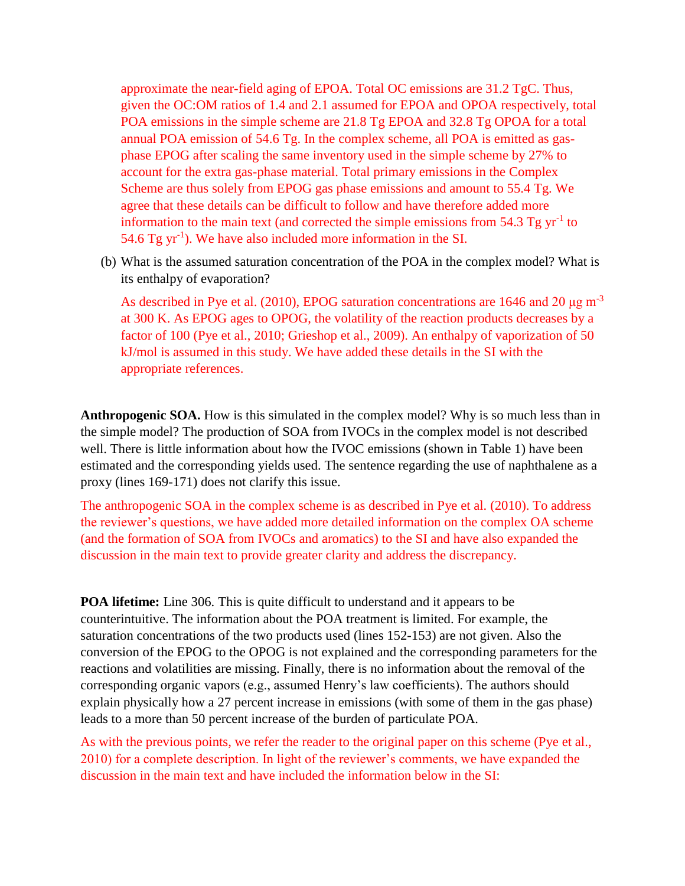approximate the near-field aging of EPOA. Total OC emissions are 31.2 TgC. Thus, given the OC:OM ratios of 1.4 and 2.1 assumed for EPOA and OPOA respectively, total POA emissions in the simple scheme are 21.8 Tg EPOA and 32.8 Tg OPOA for a total annual POA emission of 54.6 Tg. In the complex scheme, all POA is emitted as gasphase EPOG after scaling the same inventory used in the simple scheme by 27% to account for the extra gas-phase material. Total primary emissions in the Complex Scheme are thus solely from EPOG gas phase emissions and amount to 55.4 Tg. We agree that these details can be difficult to follow and have therefore added more information to the main text (and corrected the simple emissions from  $54.3$  Tg yr<sup>-1</sup> to 54.6 Tg yr<sup>-1</sup>). We have also included more information in the SI.

(b) What is the assumed saturation concentration of the POA in the complex model? What is its enthalpy of evaporation?

As described in Pye et al. (2010), EPOG saturation concentrations are 1646 and 20  $\mu$ g m<sup>-3</sup> at 300 K. As EPOG ages to OPOG, the volatility of the reaction products decreases by a factor of 100 (Pye et al., 2010; Grieshop et al., 2009). An enthalpy of vaporization of 50 kJ/mol is assumed in this study. We have added these details in the SI with the appropriate references.

**Anthropogenic SOA.** How is this simulated in the complex model? Why is so much less than in the simple model? The production of SOA from IVOCs in the complex model is not described well. There is little information about how the IVOC emissions (shown in Table 1) have been estimated and the corresponding yields used. The sentence regarding the use of naphthalene as a proxy (lines 169-171) does not clarify this issue.

The anthropogenic SOA in the complex scheme is as described in Pye et al. (2010). To address the reviewer's questions, we have added more detailed information on the complex OA scheme (and the formation of SOA from IVOCs and aromatics) to the SI and have also expanded the discussion in the main text to provide greater clarity and address the discrepancy.

**POA lifetime:** Line 306. This is quite difficult to understand and it appears to be counterintuitive. The information about the POA treatment is limited. For example, the saturation concentrations of the two products used (lines 152-153) are not given. Also the conversion of the EPOG to the OPOG is not explained and the corresponding parameters for the reactions and volatilities are missing. Finally, there is no information about the removal of the corresponding organic vapors (e.g., assumed Henry's law coefficients). The authors should explain physically how a 27 percent increase in emissions (with some of them in the gas phase) leads to a more than 50 percent increase of the burden of particulate POA.

As with the previous points, we refer the reader to the original paper on this scheme (Pye et al., 2010) for a complete description. In light of the reviewer's comments, we have expanded the discussion in the main text and have included the information below in the SI: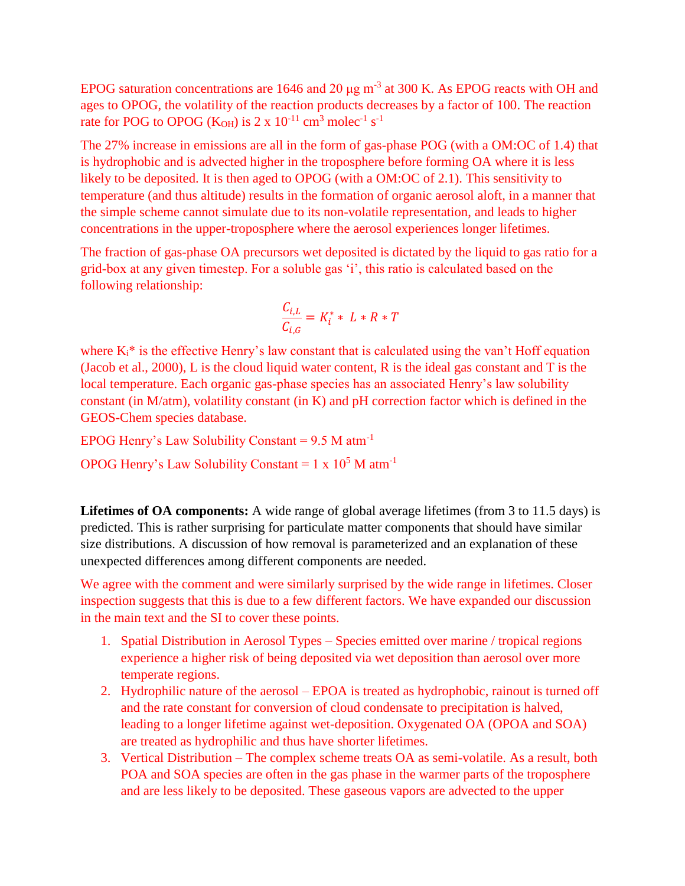EPOG saturation concentrations are 1646 and 20  $\mu$ g m<sup>-3</sup> at 300 K. As EPOG reacts with OH and ages to OPOG, the volatility of the reaction products decreases by a factor of 100. The reaction rate for POG to OPOG (K<sub>OH</sub>) is 2 x  $10^{-11}$  cm<sup>3</sup> molec<sup>-1</sup> s<sup>-1</sup>

The 27% increase in emissions are all in the form of gas-phase POG (with a OM:OC of 1.4) that is hydrophobic and is advected higher in the troposphere before forming OA where it is less likely to be deposited. It is then aged to OPOG (with a OM:OC of 2.1). This sensitivity to temperature (and thus altitude) results in the formation of organic aerosol aloft, in a manner that the simple scheme cannot simulate due to its non-volatile representation, and leads to higher concentrations in the upper-troposphere where the aerosol experiences longer lifetimes.

The fraction of gas-phase OA precursors wet deposited is dictated by the liquid to gas ratio for a grid-box at any given timestep. For a soluble gas 'i', this ratio is calculated based on the following relationship:

$$
\frac{C_{i,L}}{C_{i,G}} = K_i^* * L * R * T
$$

where  $K_i^*$  is the effective Henry's law constant that is calculated using the van't Hoff equation (Jacob et al., 2000), L is the cloud liquid water content, R is the ideal gas constant and T is the local temperature. Each organic gas-phase species has an associated Henry's law solubility constant (in M/atm), volatility constant (in K) and pH correction factor which is defined in the GEOS-Chem species database.

EPOG Henry's Law Solubility Constant =  $9.5$  M atm<sup>-1</sup> OPOG Henry's Law Solubility Constant =  $1 \times 10^5$  M atm<sup>-1</sup>

**Lifetimes of OA components:** A wide range of global average lifetimes (from 3 to 11.5 days) is predicted. This is rather surprising for particulate matter components that should have similar size distributions. A discussion of how removal is parameterized and an explanation of these unexpected differences among different components are needed.

We agree with the comment and were similarly surprised by the wide range in lifetimes. Closer inspection suggests that this is due to a few different factors. We have expanded our discussion in the main text and the SI to cover these points.

- 1. Spatial Distribution in Aerosol Types Species emitted over marine / tropical regions experience a higher risk of being deposited via wet deposition than aerosol over more temperate regions.
- 2. Hydrophilic nature of the aerosol EPOA is treated as hydrophobic, rainout is turned off and the rate constant for conversion of cloud condensate to precipitation is halved, leading to a longer lifetime against wet-deposition. Oxygenated OA (OPOA and SOA) are treated as hydrophilic and thus have shorter lifetimes.
- 3. Vertical Distribution The complex scheme treats OA as semi-volatile. As a result, both POA and SOA species are often in the gas phase in the warmer parts of the troposphere and are less likely to be deposited. These gaseous vapors are advected to the upper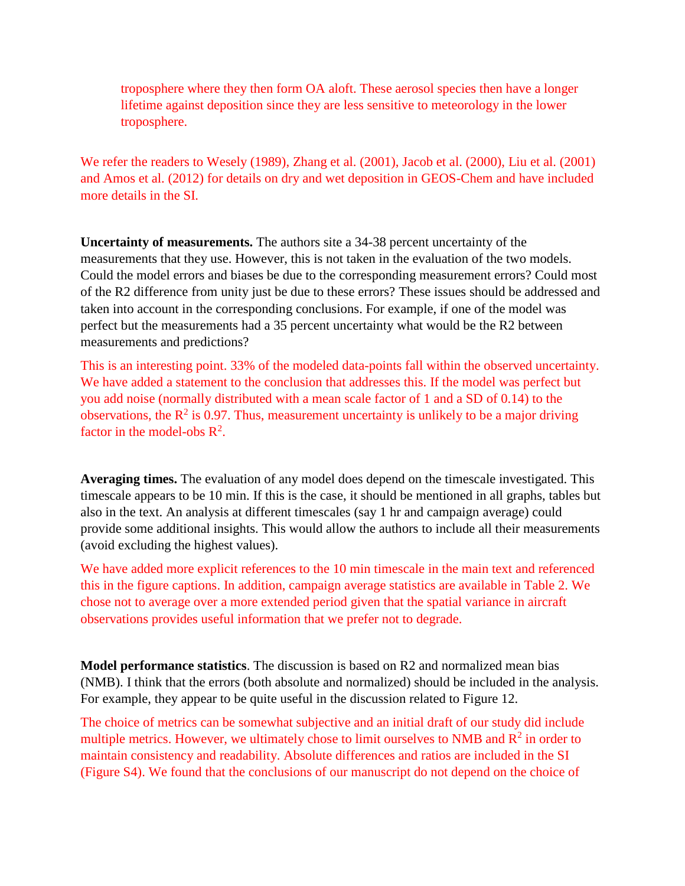troposphere where they then form OA aloft. These aerosol species then have a longer lifetime against deposition since they are less sensitive to meteorology in the lower troposphere.

We refer the readers to Wesely (1989), Zhang et al. (2001), Jacob et al. (2000), Liu et al. (2001) and Amos et al. (2012) for details on dry and wet deposition in GEOS-Chem and have included more details in the SI.

**Uncertainty of measurements.** The authors site a 34-38 percent uncertainty of the measurements that they use. However, this is not taken in the evaluation of the two models. Could the model errors and biases be due to the corresponding measurement errors? Could most of the R2 difference from unity just be due to these errors? These issues should be addressed and taken into account in the corresponding conclusions. For example, if one of the model was perfect but the measurements had a 35 percent uncertainty what would be the R2 between measurements and predictions?

This is an interesting point. 33% of the modeled data-points fall within the observed uncertainty. We have added a statement to the conclusion that addresses this. If the model was perfect but you add noise (normally distributed with a mean scale factor of 1 and a SD of 0.14) to the observations, the  $R^2$  is 0.97. Thus, measurement uncertainty is unlikely to be a major driving factor in the model-obs  $\mathbb{R}^2$ .

**Averaging times.** The evaluation of any model does depend on the timescale investigated. This timescale appears to be 10 min. If this is the case, it should be mentioned in all graphs, tables but also in the text. An analysis at different timescales (say 1 hr and campaign average) could provide some additional insights. This would allow the authors to include all their measurements (avoid excluding the highest values).

We have added more explicit references to the 10 min timescale in the main text and referenced this in the figure captions. In addition, campaign average statistics are available in Table 2. We chose not to average over a more extended period given that the spatial variance in aircraft observations provides useful information that we prefer not to degrade.

**Model performance statistics**. The discussion is based on R2 and normalized mean bias (NMB). I think that the errors (both absolute and normalized) should be included in the analysis. For example, they appear to be quite useful in the discussion related to Figure 12.

The choice of metrics can be somewhat subjective and an initial draft of our study did include multiple metrics. However, we ultimately chose to limit ourselves to NMB and  $R<sup>2</sup>$  in order to maintain consistency and readability. Absolute differences and ratios are included in the SI (Figure S4). We found that the conclusions of our manuscript do not depend on the choice of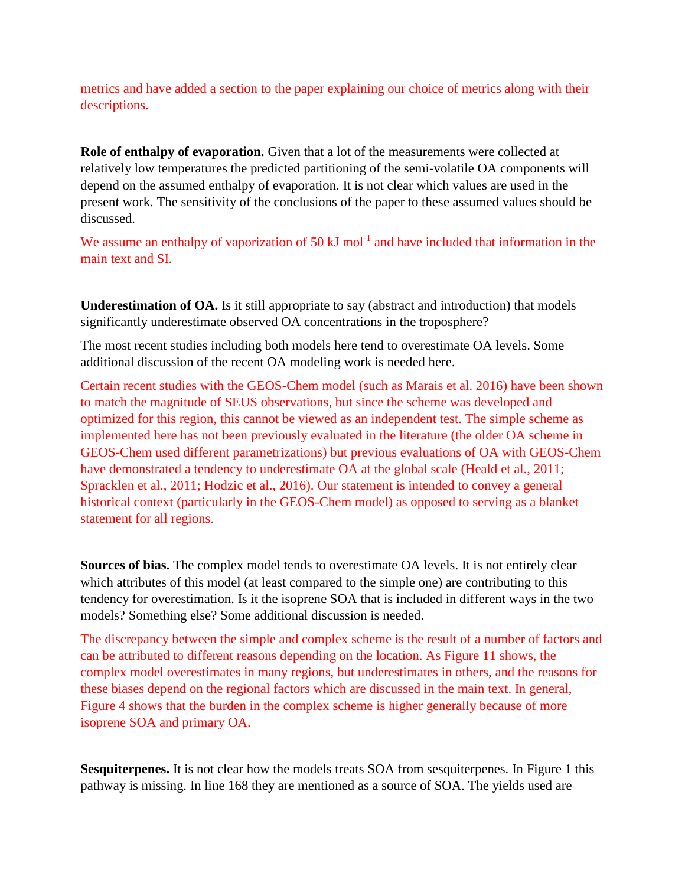metrics and have added a section to the paper explaining our choice of metrics along with their descriptions.

**Role of enthalpy of evaporation.** Given that a lot of the measurements were collected at relatively low temperatures the predicted partitioning of the semi-volatile OA components will depend on the assumed enthalpy of evaporation. It is not clear which values are used in the present work. The sensitivity of the conclusions of the paper to these assumed values should be discussed.

We assume an enthalpy of vaporization of 50 kJ mol<sup>-1</sup> and have included that information in the main text and SI.

**Underestimation of OA.** Is it still appropriate to say (abstract and introduction) that models significantly underestimate observed OA concentrations in the troposphere?

The most recent studies including both models here tend to overestimate OA levels. Some additional discussion of the recent OA modeling work is needed here.

Certain recent studies with the GEOS-Chem model (such as Marais et al. 2016) have been shown to match the magnitude of SEUS observations, but since the scheme was developed and optimized for this region, this cannot be viewed as an independent test. The simple scheme as implemented here has not been previously evaluated in the literature (the older OA scheme in GEOS-Chem used different parametrizations) but previous evaluations of OA with GEOS-Chem have demonstrated a tendency to underestimate OA at the global scale (Heald et al., 2011; Spracklen et al., 2011; Hodzic et al., 2016). Our statement is intended to convey a general historical context (particularly in the GEOS-Chem model) as opposed to serving as a blanket statement for all regions.

**Sources of bias.** The complex model tends to overestimate OA levels. It is not entirely clear which attributes of this model (at least compared to the simple one) are contributing to this tendency for overestimation. Is it the isoprene SOA that is included in different ways in the two models? Something else? Some additional discussion is needed.

The discrepancy between the simple and complex scheme is the result of a number of factors and can be attributed to different reasons depending on the location. As Figure 11 shows, the complex model overestimates in many regions, but underestimates in others, and the reasons for these biases depend on the regional factors which are discussed in the main text. In general, Figure 4 shows that the burden in the complex scheme is higher generally because of more isoprene SOA and primary OA.

**Sesquiterpenes.** It is not clear how the models treats SOA from sesquiterpenes. In Figure 1 this pathway is missing. In line 168 they are mentioned as a source of SOA. The yields used are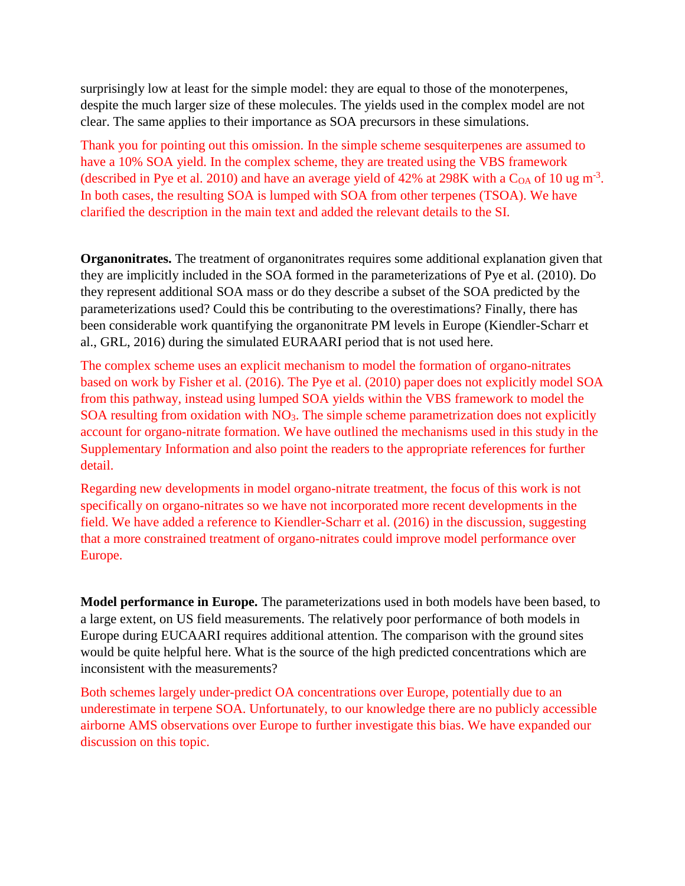surprisingly low at least for the simple model: they are equal to those of the monoterpenes, despite the much larger size of these molecules. The yields used in the complex model are not clear. The same applies to their importance as SOA precursors in these simulations.

Thank you for pointing out this omission. In the simple scheme sesquiterpenes are assumed to have a 10% SOA yield. In the complex scheme, they are treated using the VBS framework (described in Pye et al. 2010) and have an average yield of 42% at 298K with a  $C_{OA}$  of 10 ug m<sup>-3</sup>. In both cases, the resulting SOA is lumped with SOA from other terpenes (TSOA). We have clarified the description in the main text and added the relevant details to the SI.

**Organonitrates.** The treatment of organonitrates requires some additional explanation given that they are implicitly included in the SOA formed in the parameterizations of Pye et al. (2010). Do they represent additional SOA mass or do they describe a subset of the SOA predicted by the parameterizations used? Could this be contributing to the overestimations? Finally, there has been considerable work quantifying the organonitrate PM levels in Europe (Kiendler-Scharr et al., GRL, 2016) during the simulated EURAARI period that is not used here.

The complex scheme uses an explicit mechanism to model the formation of organo-nitrates based on work by Fisher et al. (2016). The Pye et al. (2010) paper does not explicitly model SOA from this pathway, instead using lumped SOA yields within the VBS framework to model the SOA resulting from oxidation with NO<sub>3</sub>. The simple scheme parametrization does not explicitly account for organo-nitrate formation. We have outlined the mechanisms used in this study in the Supplementary Information and also point the readers to the appropriate references for further detail.

Regarding new developments in model organo-nitrate treatment, the focus of this work is not specifically on organo-nitrates so we have not incorporated more recent developments in the field. We have added a reference to Kiendler-Scharr et al. (2016) in the discussion, suggesting that a more constrained treatment of organo-nitrates could improve model performance over Europe.

**Model performance in Europe.** The parameterizations used in both models have been based, to a large extent, on US field measurements. The relatively poor performance of both models in Europe during EUCAARI requires additional attention. The comparison with the ground sites would be quite helpful here. What is the source of the high predicted concentrations which are inconsistent with the measurements?

Both schemes largely under-predict OA concentrations over Europe, potentially due to an underestimate in terpene SOA. Unfortunately, to our knowledge there are no publicly accessible airborne AMS observations over Europe to further investigate this bias. We have expanded our discussion on this topic.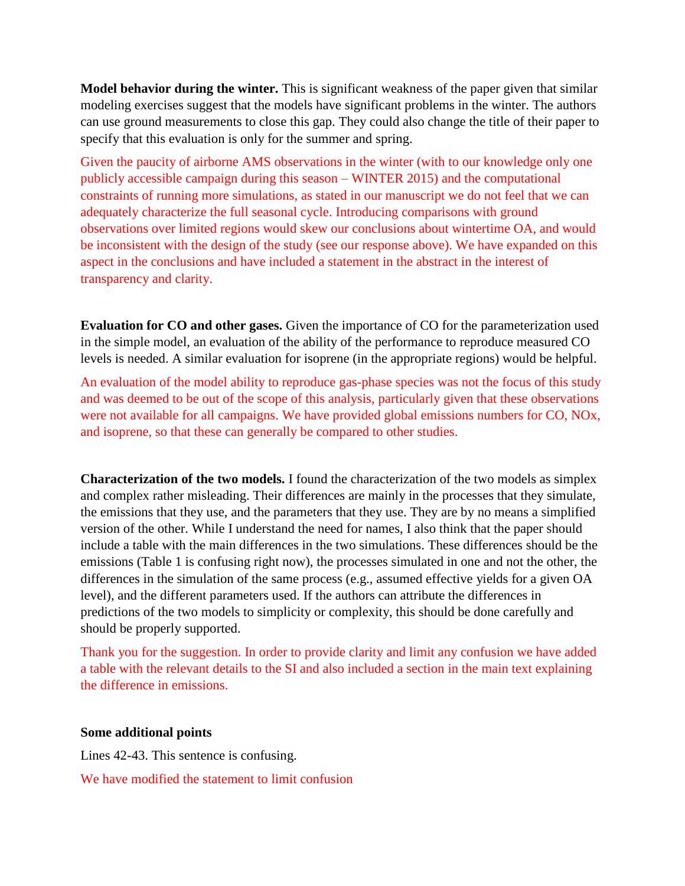**Model behavior during the winter.** This is significant weakness of the paper given that similar modeling exercises suggest that the models have significant problems in the winter. The authors can use ground measurements to close this gap. They could also change the title of their paper to specify that this evaluation is only for the summer and spring.

Given the paucity of airborne AMS observations in the winter (with to our knowledge only one publicly accessible campaign during this season – WINTER 2015) and the computational constraints of running more simulations, as stated in our manuscript we do not feel that we can adequately characterize the full seasonal cycle. Introducing comparisons with ground observations over limited regions would skew our conclusions about wintertime OA, and would be inconsistent with the design of the study (see our response above). We have expanded on this aspect in the conclusions and have included a statement in the abstract in the interest of transparency and clarity.

**Evaluation for CO and other gases.** Given the importance of CO for the parameterization used in the simple model, an evaluation of the ability of the performance to reproduce measured CO levels is needed. A similar evaluation for isoprene (in the appropriate regions) would be helpful.

An evaluation of the model ability to reproduce gas-phase species was not the focus of this study and was deemed to be out of the scope of this analysis, particularly given that these observations were not available for all campaigns. We have provided global emissions numbers for CO, NOx, and isoprene, so that these can generally be compared to other studies.

**Characterization of the two models.** I found the characterization of the two models as simplex and complex rather misleading. Their differences are mainly in the processes that they simulate, the emissions that they use, and the parameters that they use. They are by no means a simplified version of the other. While I understand the need for names, I also think that the paper should include a table with the main differences in the two simulations. These differences should be the emissions (Table 1 is confusing right now), the processes simulated in one and not the other, the differences in the simulation of the same process (e.g., assumed effective yields for a given OA level), and the different parameters used. If the authors can attribute the differences in predictions of the two models to simplicity or complexity, this should be done carefully and should be properly supported.

Thank you for the suggestion. In order to provide clarity and limit any confusion we have added a table with the relevant details to the SI and also included a section in the main text explaining the difference in emissions.

## **Some additional points**

Lines 42-43. This sentence is confusing.

We have modified the statement to limit confusion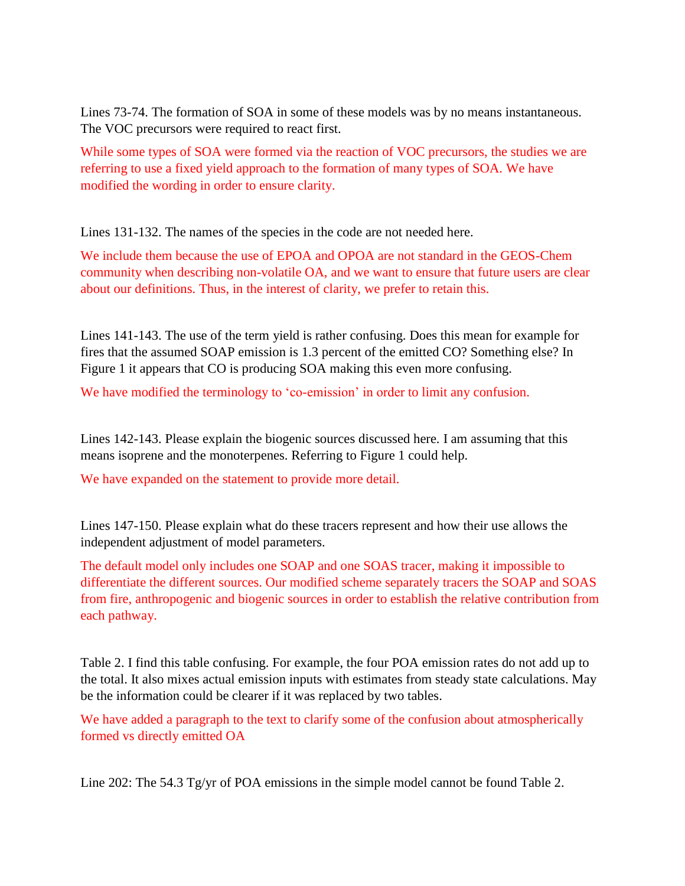Lines 73-74. The formation of SOA in some of these models was by no means instantaneous. The VOC precursors were required to react first.

While some types of SOA were formed via the reaction of VOC precursors, the studies we are referring to use a fixed yield approach to the formation of many types of SOA. We have modified the wording in order to ensure clarity.

Lines 131-132. The names of the species in the code are not needed here.

We include them because the use of EPOA and OPOA are not standard in the GEOS-Chem community when describing non-volatile OA, and we want to ensure that future users are clear about our definitions. Thus, in the interest of clarity, we prefer to retain this.

Lines 141-143. The use of the term yield is rather confusing. Does this mean for example for fires that the assumed SOAP emission is 1.3 percent of the emitted CO? Something else? In Figure 1 it appears that CO is producing SOA making this even more confusing.

We have modified the terminology to 'co-emission' in order to limit any confusion.

Lines 142-143. Please explain the biogenic sources discussed here. I am assuming that this means isoprene and the monoterpenes. Referring to Figure 1 could help.

We have expanded on the statement to provide more detail.

Lines 147-150. Please explain what do these tracers represent and how their use allows the independent adjustment of model parameters.

The default model only includes one SOAP and one SOAS tracer, making it impossible to differentiate the different sources. Our modified scheme separately tracers the SOAP and SOAS from fire, anthropogenic and biogenic sources in order to establish the relative contribution from each pathway.

Table 2. I find this table confusing. For example, the four POA emission rates do not add up to the total. It also mixes actual emission inputs with estimates from steady state calculations. May be the information could be clearer if it was replaced by two tables.

We have added a paragraph to the text to clarify some of the confusion about atmospherically formed vs directly emitted OA

Line 202: The 54.3 Tg/yr of POA emissions in the simple model cannot be found Table 2.